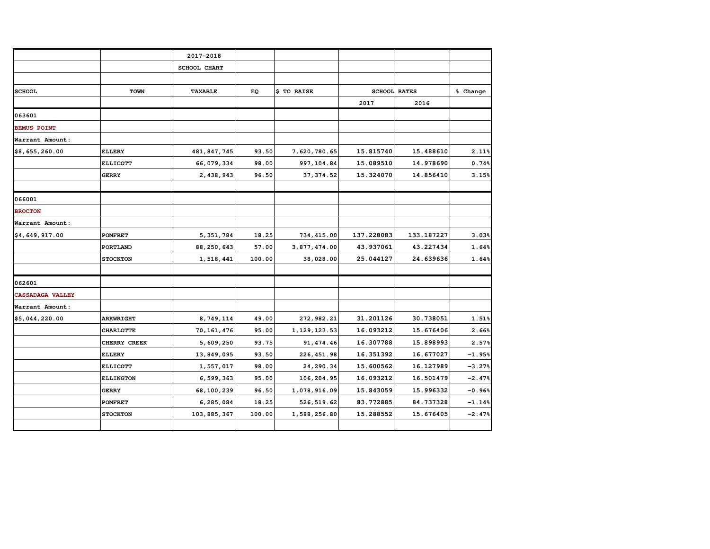|                    |                  | 2017-2018           |        |                |            |                     |          |
|--------------------|------------------|---------------------|--------|----------------|------------|---------------------|----------|
|                    |                  | <b>SCHOOL CHART</b> |        |                |            |                     |          |
|                    |                  |                     |        |                |            |                     |          |
| <b>SCHOOL</b>      | TOWN             | <b>TAXABLE</b>      | EQ     | \$ TO RAISE    |            | <b>SCHOOL RATES</b> | % Change |
|                    |                  |                     |        |                | 2017       | 2016                |          |
| 063601             |                  |                     |        |                |            |                     |          |
| <b>BEMUS POINT</b> |                  |                     |        |                |            |                     |          |
| Warrant Amount:    |                  |                     |        |                |            |                     |          |
| \$8,655,260.00     | <b>ELLERY</b>    | 481, 847, 745       | 93.50  | 7,620,780.65   | 15.815740  | 15.488610           | 2.11%    |
|                    | <b>ELLICOTT</b>  | 66,079,334          | 98.00  | 997, 104.84    | 15.089510  | 14.978690           | 0.74%    |
|                    | <b>GERRY</b>     | 2,438,943           | 96.50  | 37, 374.52     | 15.324070  | 14.856410           | 3.15%    |
|                    |                  |                     |        |                |            |                     |          |
| 066001             |                  |                     |        |                |            |                     |          |
| <b>BROCTON</b>     |                  |                     |        |                |            |                     |          |
| Warrant Amount:    |                  |                     |        |                |            |                     |          |
| \$4,649,917.00     | <b>POMFRET</b>   | 5, 351, 784         | 18.25  | 734, 415.00    | 137.228083 | 133.187227          | 3.03%    |
|                    | <b>PORTLAND</b>  | 88, 250, 643        | 57.00  | 3,877,474.00   | 43.937061  | 43.227434           | 1.64%    |
|                    | <b>STOCKTON</b>  | 1,518,441           | 100.00 | 38,028.00      | 25.044127  | 24.639636           | 1.64%    |
|                    |                  |                     |        |                |            |                     |          |
| 062601             |                  |                     |        |                |            |                     |          |
| CASSADAGA VALLEY   |                  |                     |        |                |            |                     |          |
| Warrant Amount:    |                  |                     |        |                |            |                     |          |
| \$5,044,220.00     | <b>ARKWRIGHT</b> | 8,749,114           | 49.00  | 272, 982.21    | 31.201126  | 30.738051           | 1.51%    |
|                    | <b>CHARLOTTE</b> | 70, 161, 476        | 95.00  | 1, 129, 123.53 | 16.093212  | 15.676406           | 2.66%    |
|                    | CHERRY CREEK     | 5,609,250           | 93.75  | 91, 474.46     | 16.307788  | 15.898993           | 2.57%    |
|                    | <b>ELLERY</b>    | 13,849,095          | 93.50  | 226, 451.98    | 16.351392  | 16.677027           | $-1.95%$ |
|                    | <b>ELLICOTT</b>  | 1,557,017           | 98.00  | 24, 290.34     | 15.600562  | 16.127989           | $-3.27%$ |
|                    | <b>ELLINGTON</b> | 6,599,363           | 95.00  | 106,204.95     | 16.093212  | 16.501479           | $-2.47%$ |
|                    | <b>GERRY</b>     | 68, 100, 239        | 96.50  | 1,078,916.09   | 15.843059  | 15.996332           | $-0.96%$ |
|                    | <b>POMFRET</b>   | 6,285,084           | 18.25  | 526, 519.62    | 83.772885  | 84.737328           | $-1.14%$ |
|                    | <b>STOCKTON</b>  | 103,885,367         | 100.00 | 1,588,256.80   | 15.288552  | 15.676405           | $-2.47%$ |
|                    |                  |                     |        |                |            |                     |          |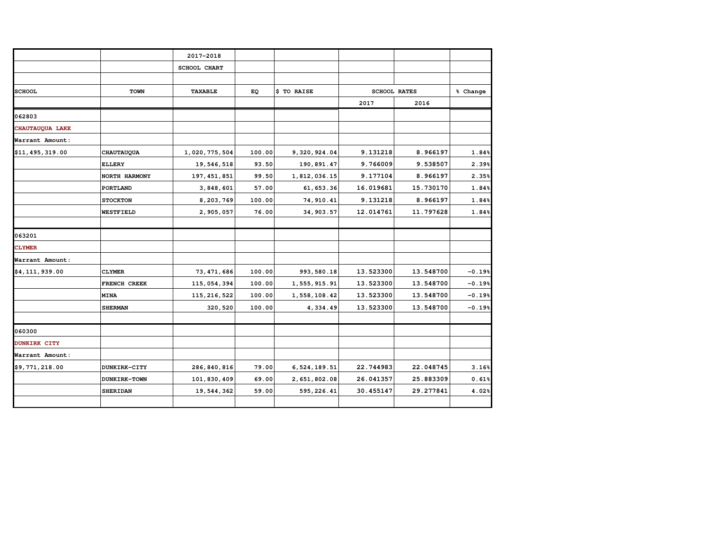|                 |                   | 2017-2018           |        |              |           |                     |          |
|-----------------|-------------------|---------------------|--------|--------------|-----------|---------------------|----------|
|                 |                   | <b>SCHOOL CHART</b> |        |              |           |                     |          |
|                 |                   |                     |        |              |           |                     |          |
| <b>SCHOOL</b>   | TOWN              | <b>TAXABLE</b>      | EQ     | \$ TO RAISE  |           | <b>SCHOOL RATES</b> |          |
|                 |                   |                     |        |              | 2017      | 2016                |          |
| 062803          |                   |                     |        |              |           |                     |          |
| CHAUTAUQUA LAKE |                   |                     |        |              |           |                     |          |
| Warrant Amount: |                   |                     |        |              |           |                     |          |
| \$11,495,319.00 | <b>CHAUTAUQUA</b> | 1,020,775,504       | 100.00 | 9,320,924.04 | 9.131218  | 8.966197            | 1.84%    |
|                 | <b>ELLERY</b>     | 19,546,518          | 93.50  | 190,891.47   | 9.766009  | 9.538507            | 2.39%    |
|                 | NORTH HARMONY     | 197, 451, 851       | 99.50  | 1,812,036.15 | 9.177104  | 8.966197            | 2.35%    |
|                 | <b>PORTLAND</b>   | 3,848,601           | 57.00  | 61, 653.36   | 16.019681 | 15.730170           | 1.84%    |
|                 | <b>STOCKTON</b>   | 8,203,769           | 100.00 | 74, 910.41   | 9.131218  | 8.966197            | 1.84%    |
|                 | <b>WESTFIELD</b>  | 2,905,057           | 76.00  | 34, 903.57   | 12.014761 | 11.797628           | 1.84%    |
|                 |                   |                     |        |              |           |                     |          |
| 063201          |                   |                     |        |              |           |                     |          |
| <b>CLYMER</b>   |                   |                     |        |              |           |                     |          |
| Warrant Amount: |                   |                     |        |              |           |                     |          |
| \$4,111,939.00  | <b>CLYMER</b>     | 73, 471, 686        | 100.00 | 993, 580.18  | 13.523300 | 13.548700           | $-0.19%$ |
|                 | FRENCH CREEK      | 115, 054, 394       | 100.00 | 1,555,915.91 | 13.523300 | 13.548700           | $-0.19%$ |
|                 | <b>MINA</b>       | 115, 216, 522       | 100.00 | 1,558,108.42 | 13.523300 | 13.548700           | $-0.19%$ |
|                 | <b>SHERMAN</b>    | 320,520             | 100.00 | 4,334.49     | 13.523300 | 13.548700           | $-0.19%$ |
|                 |                   |                     |        |              |           |                     |          |
| 060300          |                   |                     |        |              |           |                     |          |
| DUNKIRK CITY    |                   |                     |        |              |           |                     |          |
| Warrant Amount: |                   |                     |        |              |           |                     |          |
| \$9,771,218.00  | DUNKIRK-CITY      | 286, 840, 816       | 79.00  | 6,524,189.51 | 22.744983 | 22.048745           | 3.16%    |
|                 | DUNKIRK-TOWN      | 101,830,409         | 69.00  | 2,651,802.08 | 26.041357 | 25.883309           | 0.61%    |
|                 | <b>SHERIDAN</b>   | 19,544,362          | 59.00  | 595,226.41   | 30.455147 | 29.277841           | 4.02%    |
|                 |                   |                     |        |              |           |                     |          |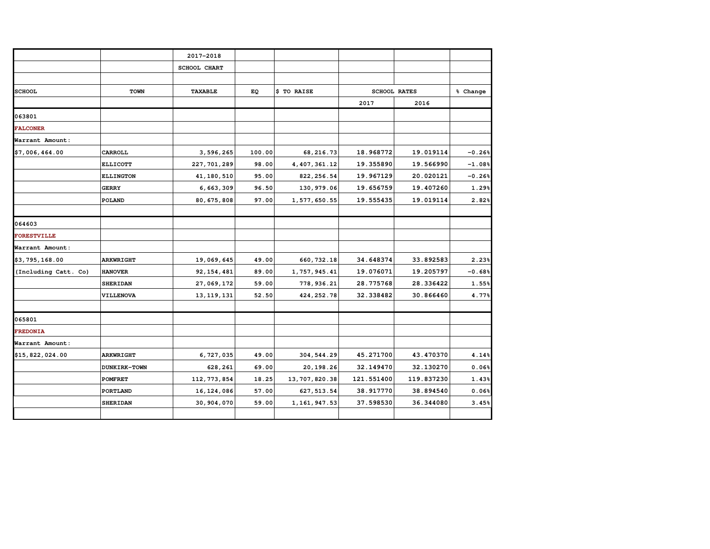|                      |                     | 2017-2018           |        |                 |                     |            |          |
|----------------------|---------------------|---------------------|--------|-----------------|---------------------|------------|----------|
|                      |                     | <b>SCHOOL CHART</b> |        |                 |                     |            |          |
|                      |                     |                     |        |                 |                     |            |          |
| <b>SCHOOL</b>        | <b>TOWN</b>         | <b>TAXABLE</b>      | EQ     | \$ TO RAISE     | <b>SCHOOL RATES</b> |            | % Change |
|                      |                     |                     |        |                 | 2017                | 2016       |          |
| 063801               |                     |                     |        |                 |                     |            |          |
| <b>FALCONER</b>      |                     |                     |        |                 |                     |            |          |
| Warrant Amount:      |                     |                     |        |                 |                     |            |          |
| \$7,006,464.00       | CARROLL             | 3,596,265           | 100.00 | 68, 216.73      | 18.968772           | 19.019114  | $-0.26%$ |
|                      | <b>ELLICOTT</b>     | 227, 701, 289       | 98.00  | 4, 407, 361.12  | 19.355890           | 19.566990  | $-1.08%$ |
|                      | <b>ELLINGTON</b>    | 41, 180, 510        | 95.00  | 822, 256.54     | 19.967129           | 20.020121  | $-0.26%$ |
|                      | <b>GERRY</b>        | 6,663,309           | 96.50  | 130, 979.06     | 19.656759           | 19.407260  | 1.29%    |
|                      | <b>POLAND</b>       | 80, 675, 808        | 97.00  | 1,577,650.55    | 19.555435           | 19.019114  | 2.82%    |
|                      |                     |                     |        |                 |                     |            |          |
| 064603               |                     |                     |        |                 |                     |            |          |
| <b>FORESTVILLE</b>   |                     |                     |        |                 |                     |            |          |
| Warrant Amount:      |                     |                     |        |                 |                     |            |          |
| \$3,795,168.00       | <b>ARKWRIGHT</b>    | 19,069,645          | 49.00  | 660, 732.18     | 34.648374           | 33.892583  | 2.23%    |
| (Including Catt. Co) | <b>HANOVER</b>      | 92, 154, 481        | 89.00  | 1,757,945.41    | 19.076071           | 19.205797  | $-0.68%$ |
|                      | <b>SHERIDAN</b>     | 27,069,172          | 59.00  | 778,936.21      | 28.775768           | 28.336422  | 1.55%    |
|                      | VILLENOVA           | 13, 119, 131        | 52.50  | 424, 252.78     | 32.338482           | 30.866460  | 4.77%    |
|                      |                     |                     |        |                 |                     |            |          |
| 065801               |                     |                     |        |                 |                     |            |          |
| <b>FREDONIA</b>      |                     |                     |        |                 |                     |            |          |
| Warrant Amount:      |                     |                     |        |                 |                     |            |          |
| \$15,822,024.00      | <b>ARKWRIGHT</b>    | 6,727,035           | 49.00  | 304, 544.29     | 45.271700           | 43.470370  | 4.14%    |
|                      | <b>DUNKIRK-TOWN</b> | 628,261             | 69.00  | 20,198.26       | 32.149470           | 32.130270  | 0.06%    |
|                      | <b>POMFRET</b>      | 112, 773, 854       | 18.25  | 13, 707, 820.38 | 121.551400          | 119.837230 | 1.43%    |
|                      | <b>PORTLAND</b>     | 16, 124, 086        | 57.00  | 627, 513.54     | 38.917770           | 38.894540  | 0.06%    |
|                      | <b>SHERIDAN</b>     | 30, 904, 070        | 59.00  | 1, 161, 947.53  | 37.598530           | 36.344080  | 3.45%    |
|                      |                     |                     |        |                 |                     |            |          |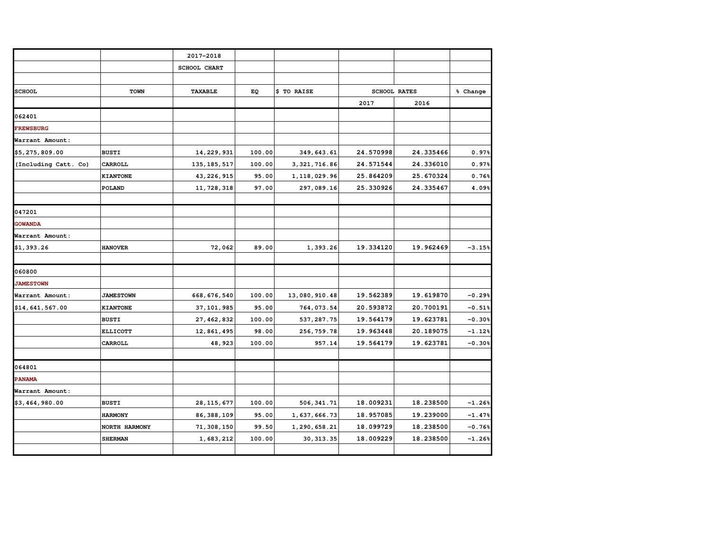|                      |                  | 2017-2018     |        |                |                     |           |          |
|----------------------|------------------|---------------|--------|----------------|---------------------|-----------|----------|
|                      |                  | SCHOOL CHART  |        |                |                     |           |          |
|                      |                  |               |        |                |                     |           |          |
| <b>SCHOOL</b>        | <b>TOWN</b>      | TAXABLE       | EQ     | \$ TO RAISE    | <b>SCHOOL RATES</b> |           | % Change |
|                      |                  |               |        |                | 2017                | 2016      |          |
| 062401               |                  |               |        |                |                     |           |          |
| <b>FREWSBURG</b>     |                  |               |        |                |                     |           |          |
| Warrant Amount:      |                  |               |        |                |                     |           |          |
| \$5,275,809.00       | <b>BUSTI</b>     | 14, 229, 931  | 100.00 | 349,643.61     | 24.570998           | 24.335466 | 0.97%    |
| (Including Catt. Co) | CARROLL          | 135, 185, 517 | 100.00 | 3, 321, 716.86 | 24.571544           | 24.336010 | 0.97%    |
|                      | <b>KIANTONE</b>  | 43, 226, 915  | 95.00  | 1, 118, 029.96 | 25.864209           | 25.670324 | 0.76%    |
|                      | <b>POLAND</b>    | 11,728,318    | 97.00  | 297,089.16     | 25.330926           | 24.335467 | 4.09%    |
|                      |                  |               |        |                |                     |           |          |
| 047201               |                  |               |        |                |                     |           |          |
| <b>GOWANDA</b>       |                  |               |        |                |                     |           |          |
| Warrant Amount:      |                  |               |        |                |                     |           |          |
| \$1,393.26           | <b>HANOVER</b>   | 72,062        | 89.00  | 1,393.26       | 19.334120           | 19.962469 | $-3.15%$ |
|                      |                  |               |        |                |                     |           |          |
| 060800               |                  |               |        |                |                     |           |          |
| <b>JAMESTOWN</b>     |                  |               |        |                |                     |           |          |
| Warrant Amount:      | <b>JAMESTOWN</b> | 668, 676, 540 | 100.00 | 13,080,910.48  | 19.562389           | 19.619870 | $-0.29%$ |
| \$14,641,567.00      | <b>KIANTONE</b>  | 37, 101, 985  | 95.00  | 764,073.54     | 20.593872           | 20.700191 | $-0.51%$ |
|                      | <b>BUSTI</b>     | 27, 462, 832  | 100.00 | 537, 287.75    | 19.564179           | 19.623781 | $-0.30%$ |
|                      | <b>ELLICOTT</b>  | 12,861,495    | 98.00  | 256, 759. 78   | 19.963448           | 20.189075 | $-1.12%$ |
|                      | <b>CARROLL</b>   | 48,923        | 100.00 | 957.14         | 19.564179           | 19.623781 | $-0.30%$ |
|                      |                  |               |        |                |                     |           |          |
| 064801               |                  |               |        |                |                     |           |          |
| <b>PANAMA</b>        |                  |               |        |                |                     |           |          |
| Warrant Amount:      |                  |               |        |                |                     |           |          |
| \$3,464,980.00       | <b>BUSTI</b>     | 28, 115, 677  | 100.00 | 506, 341.71    | 18.009231           | 18.238500 | $-1.26%$ |
|                      | <b>HARMONY</b>   | 86, 388, 109  | 95.00  | 1,637,666.73   | 18.957085           | 19.239000 | $-1.47%$ |
|                      | NORTH HARMONY    | 71,308,150    | 99.50  | 1,290,658.21   | 18.099729           | 18.238500 | $-0.76%$ |
|                      | <b>SHERMAN</b>   | 1,683,212     | 100.00 | 30, 313.35     | 18.009229           | 18.238500 | $-1.26%$ |
|                      |                  |               |        |                |                     |           |          |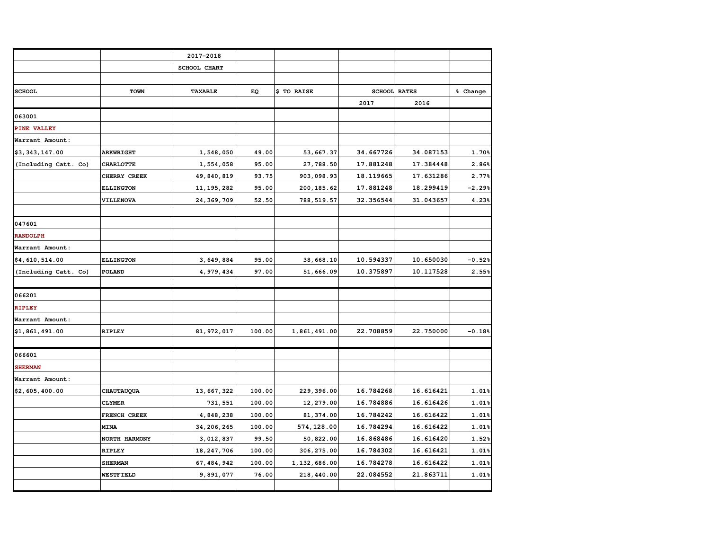|                      |                  | 2017-2018      |        |              |           |                     |          |
|----------------------|------------------|----------------|--------|--------------|-----------|---------------------|----------|
|                      |                  | SCHOOL CHART   |        |              |           |                     |          |
|                      |                  |                |        |              |           |                     |          |
| <b>SCHOOL</b>        | <b>TOWN</b>      | <b>TAXABLE</b> | EQ     | \$ TO RAISE  |           | <b>SCHOOL RATES</b> |          |
|                      |                  |                |        |              | 2017      | 2016                |          |
| 063001               |                  |                |        |              |           |                     |          |
| <b>PINE VALLEY</b>   |                  |                |        |              |           |                     |          |
| Warrant Amount:      |                  |                |        |              |           |                     |          |
| \$3,343,147.00       | <b>ARKWRIGHT</b> | 1,548,050      | 49.00  | 53,667.37    | 34.667726 | 34.087153           | 1.70%    |
| (Including Catt. Co) | <b>CHARLOTTE</b> | 1,554,058      | 95.00  | 27,788.50    | 17.881248 | 17.384448           | 2.86%    |
|                      | CHERRY CREEK     | 49,840,819     | 93.75  | 903,098.93   | 18.119665 | 17.631286           | 2.77%    |
|                      | <b>ELLINGTON</b> | 11, 195, 282   | 95.00  | 200, 185.62  | 17.881248 | 18.299419           | $-2.29%$ |
|                      | VILLENOVA        | 24, 369, 709   | 52.50  | 788, 519.57  | 32.356544 | 31.043657           | 4.23%    |
|                      |                  |                |        |              |           |                     |          |
| 047601               |                  |                |        |              |           |                     |          |
| <b>RANDOLPH</b>      |                  |                |        |              |           |                     |          |
| Warrant Amount:      |                  |                |        |              |           |                     |          |
| \$4,610,514.00       | <b>ELLINGTON</b> | 3,649,884      | 95.00  | 38,668.10    | 10.594337 | 10.650030           | $-0.52%$ |
| (Including Catt. Co) | POLAND           | 4,979,434      | 97.00  | 51,666.09    | 10.375897 | 10.117528           | 2.55%    |
|                      |                  |                |        |              |           |                     |          |
| 066201               |                  |                |        |              |           |                     |          |
| RIPLEY               |                  |                |        |              |           |                     |          |
| Warrant Amount:      |                  |                |        |              |           |                     |          |
| \$1,861,491.00       | <b>RIPLEY</b>    | 81, 972, 017   | 100.00 | 1,861,491.00 | 22.708859 | 22.750000           | $-0.18%$ |
|                      |                  |                |        |              |           |                     |          |
| 066601               |                  |                |        |              |           |                     |          |
| <b>SHERMAN</b>       |                  |                |        |              |           |                     |          |
| Warrant Amount:      |                  |                |        |              |           |                     |          |
| \$2,605,400.00       | CHAUTAUQUA       | 13, 667, 322   | 100.00 | 229, 396.00  | 16.784268 | 16.616421           | 1.01%    |
|                      | <b>CLYMER</b>    | 731,551        | 100.00 | 12,279.00    | 16.784886 | 16.616426           | 1.01%    |
|                      | FRENCH CREEK     | 4,848,238      | 100.00 | 81, 374.00   | 16.784242 | 16.616422           | 1.01%    |
|                      | <b>MINA</b>      | 34, 206, 265   | 100.00 | 574,128.00   | 16.784294 | 16.616422           | 1.01%    |
|                      | NORTH HARMONY    | 3,012,837      | 99.50  | 50,822.00    | 16.868486 | 16.616420           | 1.52%    |
|                      | <b>RIPLEY</b>    | 18, 247, 706   | 100.00 | 306, 275.00  | 16.784302 | 16.616421           | 1.01%    |
|                      | <b>SHERMAN</b>   | 67, 484, 942   | 100.00 | 1,132,686.00 | 16.784278 | 16.616422           | 1.01%    |
|                      | <b>WESTFIELD</b> | 9,891,077      | 76.00  | 218,440.00   | 22.084552 | 21.863711           | 1.01%    |
|                      |                  |                |        |              |           |                     |          |